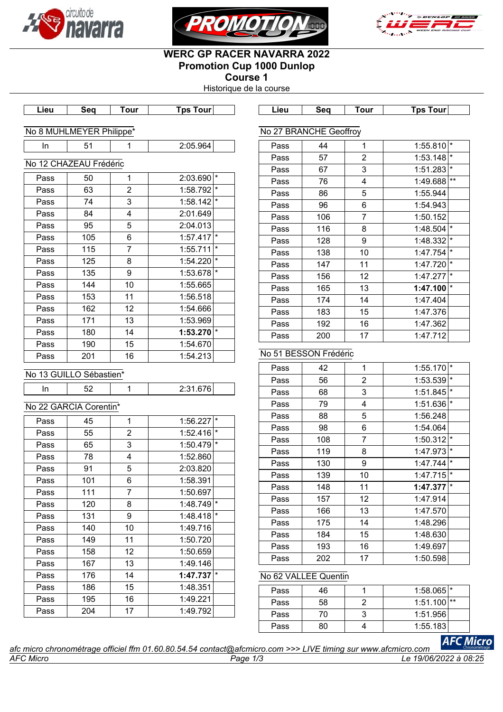





# **WERC GP RACER NAVARRA 2022 Promotion Cup 1000 Dunlop**

**Course 1** Historique de la course

**Lieu Seq Tour Tps Tour Lieu Seq Tour Tps Tour**

Pass | 44 | 1 | 1:55.810 Pass 57 2 1:53.148 Pass 67 3 1:51.283 Pass 76 4 1:49.688 Pass 86 5 1:55.944

| No 8 MUHLMEYER Philippe* |  |
|--------------------------|--|

### No 12 CHAZEAU Frédéric

| Pass | 50  | 1                 | 2:03.690 | $\star$  |
|------|-----|-------------------|----------|----------|
| Pass | 63  | 2                 | 1:58.792 | $\star$  |
| Pass | 74  | 3                 | 1:58.142 | $\star$  |
| Pass | 84  | 4                 | 2:01.649 |          |
| Pass | 95  | 5                 | 2:04.013 |          |
| Pass | 105 | 6                 | 1:57.417 | $^\star$ |
| Pass | 115 | 7                 | 1:55.711 | $\star$  |
| Pass | 125 | 8                 | 1:54.220 | $\star$  |
| Pass | 135 | 9                 | 1:53.678 | $\star$  |
| Pass | 144 | 10                | 1:55.665 |          |
| Pass | 153 | 11                | 1:56.518 |          |
| Pass | 162 | $12 \overline{ }$ | 1:54.666 |          |
| Pass | 171 | 13                | 1:53.969 |          |
| Pass | 180 | 14                | 1:53.270 | $\star$  |
| Pass | 190 | 15                | 1:54.670 |          |
| Pass | 201 | 16                | 1:54.213 |          |

# Pass 96 6 1:54.943 Pass | 106 | 7 | 1:50.152 Pass | 116 | 8 | 1:48.504 Pass 128 9 1:48.332 Pass | 138 | 10 | 1:47.754 Pass 147 11 1:47.720 Pass 156 12 1:47.277 Pass 165 13 1:47.100 Pass 174 14 1:47.404 Pass 183 15 1:47.376 Pass | 192 | 16 | 1:47.362 Pass 200 17 1:47.712

# No 51 BESSON Frédéric

No 27 BRANCHE Geoffroy

| No 13 GUILLO Sébastien* |
|-------------------------|
|                         |

| __ | $\sim$ |  |
|----|--------|--|
|    |        |  |

# No 22 GARCIA Corentin\*

| Pass       | 45  | 1              | 1:56.227 | $\star$ |
|------------|-----|----------------|----------|---------|
| 55<br>Pass |     | $\overline{2}$ | 1:52.416 | $\star$ |
| Pass       | 65  | 3              | 1:50.479 | $\star$ |
| Pass       | 78  | 4              | 1:52.860 |         |
| Pass       | 91  | 5              | 2:03.820 |         |
| Pass       | 101 | 6              | 1:58.391 |         |
| Pass       | 111 | 7              | 1:50.697 |         |
| Pass       | 120 | 8              | 1:48.749 | $\star$ |
| Pass       | 131 | 9              | 1:48.418 | $\star$ |
| Pass       | 140 | 10             | 1:49.716 |         |
| Pass       | 149 | 11             | 1:50.720 |         |
| Pass       | 158 | 12             | 1:50.659 |         |
| Pass       | 167 | 13             | 1:49.146 |         |
| Pass       | 176 | 14             | 1:47.737 | $\star$ |
| Pass       | 186 | 15             | 1:48.351 |         |
| Pass       | 195 | 16             | 1:49.221 |         |
| Pass       | 204 | 17             | 1:49.792 |         |
|            |     |                |          |         |

| Pass | 42  | 1  | 1:55.170 | $\star$  |
|------|-----|----|----------|----------|
| Pass | 56  | 2  | 1:53.539 | $^\star$ |
| Pass | 68  | 3  | 1:51.845 | $\star$  |
| Pass | 79  | 4  | 1:51.636 | $^\star$ |
| Pass | 88  | 5  | 1:56.248 |          |
| Pass | 98  | 6  | 1:54.064 |          |
| Pass | 108 | 7  | 1:50.312 | $\star$  |
| Pass | 119 | 8  | 1:47.973 | $\star$  |
| Pass | 130 | 9  | 1:47.744 | $\star$  |
| Pass | 139 | 10 | 1:47.715 | $\star$  |
| Pass | 148 | 11 | 1:47.377 | $\star$  |
| Pass | 157 | 12 | 1:47.914 |          |
| Pass | 166 | 13 | 1:47.570 |          |
| Pass | 175 | 14 | 1:48.296 |          |
| Pass | 184 | 15 | 1:48.630 |          |
| Pass | 193 | 16 | 1:49.697 |          |
| Pass | 202 | 17 | 1:50.598 |          |

# No 62 VALLEE Quentin

| Pass | 46 | $1:58.065$ <sup>*</sup> |      |
|------|----|-------------------------|------|
| Pass | 58 | 1:51.100                | l ** |
| Pass | 70 | 1:51.956                |      |
| Pass | 80 | 1:55.183                |      |
|      |    |                         |      |

|                  | afc micro chronométrage officiel ffm 01.60.80.54.54 contact@afcmicro.com >>> LIVE timing sur www.afcmicro.com |                    |
|------------------|---------------------------------------------------------------------------------------------------------------|--------------------|
| <b>AFC Micro</b> | Paqe                                                                                                          | 19/06/2022 à 08:25 |

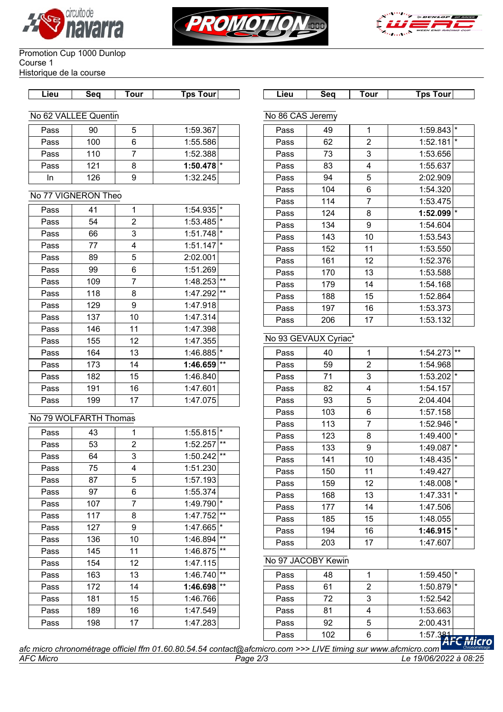





#### Promotion Cup 1000 Dunlop Course 1 Historique de la course

| Lieu | Sea | our | <b>Tour</b><br>`DS | ∟ieu | Sea | our | our<br>`ps |
|------|-----|-----|--------------------|------|-----|-----|------------|
|      |     |     |                    |      |     |     |            |

#### No 62 VALLEE Quentin

| Pass        | 90  | 1:59.367                |
|-------------|-----|-------------------------|
| Pass        | 100 | 1:55.586                |
| Pass        | 110 | 1:52.388                |
| 121<br>Pass |     | $1:50.478$ <sup>*</sup> |
|             | 126 | 1:32.245                |

### No 77 VIGNERON Theo

| Pass        | 41  | 1              | 1:54.935 | $\star$ |
|-------------|-----|----------------|----------|---------|
| Pass        | 54  | $\overline{2}$ | 1:53.485 | $\star$ |
| Pass        | 66  | 3              | 1:51.748 | $\star$ |
| Pass        | 77  | 4              | 1:51.147 | $\star$ |
| Pass        | 89  | 5              | 2:02.001 |         |
| Pass        | 99  | 6              | 1:51.269 |         |
| Pass        | 109 | 7              | 1:48.253 | $***$   |
| Pass        | 118 | 8              | 1:47.292 | $***$   |
| 129<br>Pass |     | 9              | 1:47.918 |         |
| Pass        | 137 | 10             | 1:47.314 |         |
| Pass        | 146 | 11             | 1:47.398 |         |
| Pass        | 155 | 12             | 1:47.355 |         |
| Pass        | 164 | 13             | 1:46.885 | $\star$ |
| Pass        | 173 | 14             | 1:46.659 | $***$   |
| 182<br>Pass |     | 15             | 1:46.840 |         |
| Pass        | 191 | 16             | 1:47.601 |         |
| Pass        | 199 | 17             | 1:47.075 |         |

# No 79 WOLFARTH Thomas

| Pass | 43  | 1              | 1:55.815 | $\star$  |
|------|-----|----------------|----------|----------|
| Pass | 53  | $\overline{2}$ | 1:52.257 | $***$    |
| Pass | 64  | 3              | 1:50.242 | $***$    |
| Pass | 75  | 4              | 1:51.230 |          |
| Pass | 87  | 5              | 1:57.193 |          |
| Pass | 97  | 6              | 1:55.374 |          |
| Pass | 107 | $\overline{7}$ | 1:49.790 | $\star$  |
| Pass | 117 | 8              | 1:47.752 | $***$    |
| Pass | 127 | 9              | 1:47.665 | $^\star$ |
| Pass | 136 | 10             | 1:46.894 | $***$    |
| Pass | 145 | 11             | 1:46.875 | $**$     |
| Pass | 154 | 12             | 1:47.115 |          |
| Pass | 163 | 13             | 1:46.740 | $***$    |
| Pass | 172 | 14             | 1:46.698 | $***$    |
| Pass | 181 | 15             | 1:46.766 |          |
| Pass | 189 | 16             | 1:47.549 |          |
| Pass | 198 | 17             | 1:47.283 |          |

| Lieu             | Seq                  | Tour           | Tps Tour∣               |         |  |  |  |  |
|------------------|----------------------|----------------|-------------------------|---------|--|--|--|--|
| No 86 CAS Jeremy |                      |                |                         |         |  |  |  |  |
| Pass             | 49                   | 1              | $1:59.843$ <sup>*</sup> |         |  |  |  |  |
| Pass             | 62                   | $\overline{c}$ | 1:52.181                | $\star$ |  |  |  |  |
| Pass             | 73                   | 3              | 1:53.656                |         |  |  |  |  |
| Pass             | 83                   | 4              | 1:55.637                |         |  |  |  |  |
| Pass             | 94                   | 5              | 2:02.909                |         |  |  |  |  |
| Pass             | 104                  | 6              | 1:54.320                |         |  |  |  |  |
| Pass             | 114                  | $\overline{7}$ | 1:53.475                |         |  |  |  |  |
| Pass             | 124                  | 8              | 1:52.099                | $\star$ |  |  |  |  |
| Pass             | 134                  | 9              | 1:54.604                |         |  |  |  |  |
| Pass             | 143                  | 10             | 1:53.543                |         |  |  |  |  |
| Pass             | 152                  | 11             | 1:53.550                |         |  |  |  |  |
| Pass             | 161                  | 12             | 1:52.376                |         |  |  |  |  |
| Pass             | 170                  | 13             | 1:53.588                |         |  |  |  |  |
| Pass             | 179                  | 14             | 1:54.168                |         |  |  |  |  |
| Pass             | 188                  | 15             | 1:52.864                |         |  |  |  |  |
| Pass             | 197                  | 16             | 1:53.373                |         |  |  |  |  |
| Pass             | 206                  | 17             | 1:53.132                |         |  |  |  |  |
|                  | No 93 GEVAUX Cyriac* |                |                         |         |  |  |  |  |
| Pass             | 40                   | $\overline{1}$ | 1:54.273                | $***$   |  |  |  |  |
| Pass             | 59                   | $\overline{2}$ | 1:54.968                |         |  |  |  |  |
| Pass             | 71                   | 3              | 1:53.202                | $\star$ |  |  |  |  |
| Pass             | 82                   | 4              | 1:54.157                |         |  |  |  |  |
| Pass             | 93                   | 5              | 2:04.404                |         |  |  |  |  |
| Pass             | 103                  | 6              | 1:57.158                |         |  |  |  |  |
| Pass             | 113                  | $\overline{7}$ | 1:52.946                | $\star$ |  |  |  |  |

Pass 123 8 1:49.400 Pass 133 9 1:49.087 Pass 141 10 1:48.435 Pass 150 11 1:49.427 Pass 159 12 1:48.008 Pass 168 13 1:47.331 Pass 177 14 1:47.506 Pass 185 15 1:48.055 Pass 194 16 1:46.915 Pass 203 17 1:47.607

# No 97 JACOBY Kewin

| Pass | 102 | 1:57.381                |
|------|-----|-------------------------|
| Pass | 92  | 2:00.431                |
| Pass | 81  | 1:53.663                |
| Pass | 72  | 1:52.542                |
| Pass | 61  | $1:50.879$ <sup>*</sup> |
| Pass | 48  | $1:59.450$ <sup>*</sup> |

**cro** *afc micro chronométrage officiel ffm 01.60.80.54.54 contact@afcmicro.com >>> LIVE timing sur www.afcmicro.com AFC Micro Page 2/3 Le 19/06/2022 à 08:25*